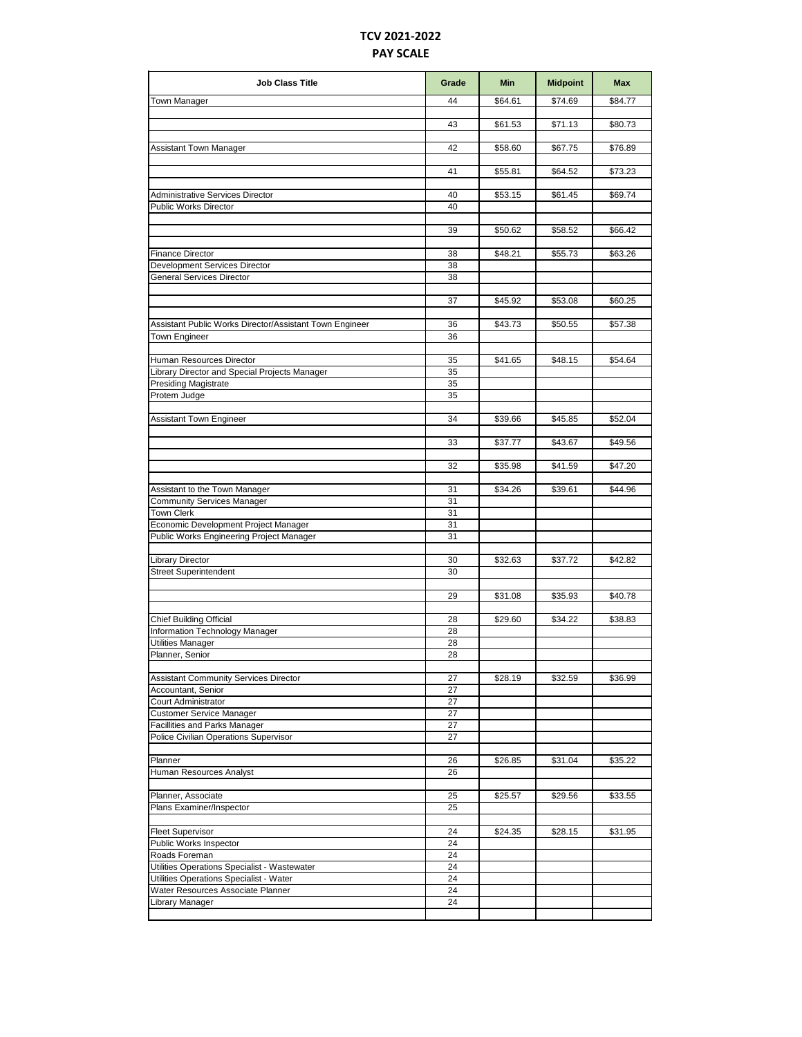## **TCV 2021-2022 PAY SCALE**

| <b>Job Class Title</b>                                                 | Grade    | <b>Min</b> | <b>Midpoint</b> | <b>Max</b> |
|------------------------------------------------------------------------|----------|------------|-----------------|------------|
| Town Manager                                                           | 44       | \$64.61    | \$74.69         | \$84.77    |
|                                                                        | 43       | \$61.53    | \$71.13         | \$80.73    |
| Assistant Town Manager                                                 | 42       | \$58.60    | \$67.75         | \$76.89    |
|                                                                        |          |            |                 |            |
|                                                                        | 41       | \$55.81    | \$64.52         | \$73.23    |
| <b>Administrative Services Director</b>                                | 40       | \$53.15    | \$61.45         | \$69.74    |
| Public Works Director                                                  | 40       |            |                 |            |
|                                                                        | 39       | \$50.62    | \$58.52         | \$66.42    |
| <b>Finance Director</b>                                                | 38       | \$48.21    | \$55.73         | \$63.26    |
| Development Services Director                                          | 38       |            |                 |            |
| General Services Director                                              | 38       |            |                 |            |
|                                                                        |          |            |                 |            |
|                                                                        | 37       | \$45.92    | \$53.08         | \$60.25    |
| Assistant Public Works Director/Assistant Town Engineer                | 36       | \$43.73    | \$50.55         | \$57.38    |
| Town Engineer                                                          | 36       |            |                 |            |
| Human Resources Director                                               | 35       | \$41.65    | \$48.15         | \$54.64    |
| Library Director and Special Projects Manager                          | 35       |            |                 |            |
| <b>Presiding Magistrate</b>                                            | 35       |            |                 |            |
| Protem Judge                                                           | 35       |            |                 |            |
| Assistant Town Engineer                                                | 34       | \$39.66    | \$45.85         | \$52.04    |
|                                                                        |          |            |                 |            |
|                                                                        | 33       | \$37.77    | \$43.67         | \$49.56    |
|                                                                        | 32       | \$35.98    | \$41.59         | \$47.20    |
| Assistant to the Town Manager                                          | 31       | \$34.26    | \$39.61         | \$44.96    |
| <b>Community Services Manager</b>                                      | 31       |            |                 |            |
| <b>Town Clerk</b>                                                      | 31       |            |                 |            |
| Economic Development Project Manager                                   | 31       |            |                 |            |
| Public Works Engineering Project Manager                               | 31       |            |                 |            |
| <b>Library Director</b>                                                | 30       | \$32.63    | \$37.72         | \$42.82    |
| <b>Street Superintendent</b>                                           | 30       |            |                 |            |
|                                                                        | 29       | \$31.08    | \$35.93         | \$40.78    |
|                                                                        |          |            |                 |            |
| <b>Chief Building Official</b>                                         | 28       | \$29.60    | \$34.22         | \$38.83    |
| Information Technology Manager                                         | 28       |            |                 |            |
| <b>Utilities Manager</b>                                               | 28       |            |                 |            |
| Planner, Senior                                                        | 28       |            |                 |            |
| <b>Assistant Community Services Director</b>                           | 27       | \$28.19    | \$32.59         | \$36.99    |
| Accountant, Senior                                                     | 27       |            |                 |            |
| Court Administrator                                                    | 27       |            |                 |            |
| <b>Customer Service Manager</b>                                        | 27       |            |                 |            |
| Facillities and Parks Manager<br>Police Civilian Operations Supervisor | 27<br>27 |            |                 |            |
|                                                                        |          |            |                 |            |
| Planner                                                                | 26       | \$26.85    | \$31.04         | \$35.22    |
| Human Resources Analyst                                                | 26       |            |                 |            |
| Planner, Associate                                                     | 25       | \$25.57    | \$29.56         | \$33.55    |
| Plans Examiner/Inspector                                               | 25       |            |                 |            |
| <b>Fleet Supervisor</b>                                                | 24       | \$24.35    | \$28.15         | \$31.95    |
| Public Works Inspector                                                 | 24       |            |                 |            |
| Roads Foreman                                                          | 24       |            |                 |            |
| Utilities Operations Specialist - Wastewater                           | 24       |            |                 |            |
| Utilities Operations Specialist - Water                                | 24       |            |                 |            |
| Water Resources Associate Planner                                      | 24       |            |                 |            |
| Library Manager                                                        | 24       |            |                 |            |
|                                                                        |          |            |                 |            |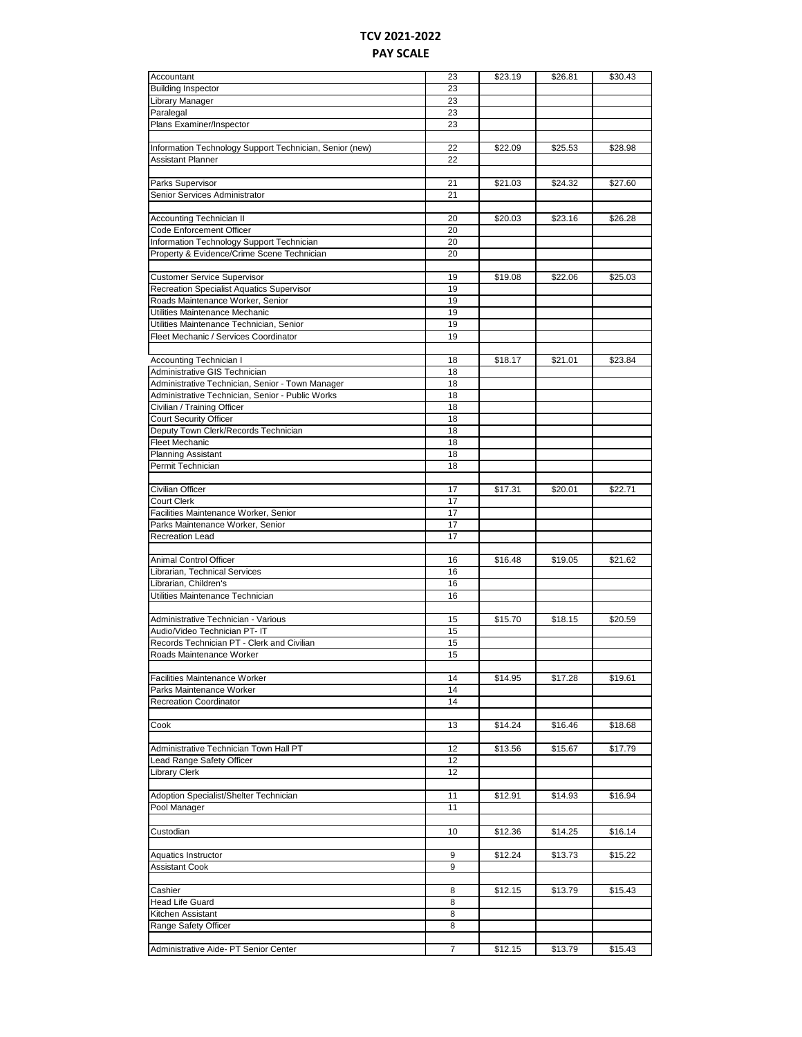## **TCV 2021-2022 PAY SCALE**

| Accountant                                              | 23 | \$23.19 | \$26.81 | \$30.43 |
|---------------------------------------------------------|----|---------|---------|---------|
| <b>Building Inspector</b>                               | 23 |         |         |         |
| Library Manager                                         | 23 |         |         |         |
| Paralegal                                               | 23 |         |         |         |
|                                                         |    |         |         |         |
| Plans Examiner/Inspector                                | 23 |         |         |         |
|                                                         |    |         |         |         |
| Information Technology Support Technician, Senior (new) | 22 | \$22.09 | \$25.53 | \$28.98 |
| Assistant Planner                                       | 22 |         |         |         |
|                                                         |    |         |         |         |
| Parks Supervisor                                        | 21 | \$21.03 | \$24.32 | \$27.60 |
| Senior Services Administrator                           | 21 |         |         |         |
|                                                         |    |         |         |         |
| Accounting Technician II                                | 20 | \$20.03 | \$23.16 | \$26.28 |
| Code Enforcement Officer                                | 20 |         |         |         |
| Information Technology Support Technician               | 20 |         |         |         |
|                                                         |    |         |         |         |
| Property & Evidence/Crime Scene Technician              | 20 |         |         |         |
|                                                         |    |         |         |         |
| <b>Customer Service Supervisor</b>                      | 19 | \$19.08 | \$22.06 | \$25.03 |
| <b>Recreation Specialist Aquatics Supervisor</b>        | 19 |         |         |         |
| Roads Maintenance Worker, Senior                        | 19 |         |         |         |
| Utilities Maintenance Mechanic                          | 19 |         |         |         |
| Utilities Maintenance Technician, Senior                | 19 |         |         |         |
| Fleet Mechanic / Services Coordinator                   | 19 |         |         |         |
|                                                         |    |         |         |         |
| Accounting Technician I                                 | 18 | \$18.17 | \$21.01 | \$23.84 |
| Administrative GIS Technician                           | 18 |         |         |         |
|                                                         |    |         |         |         |
| Administrative Technician, Senior - Town Manager        | 18 |         |         |         |
| Administrative Technician, Senior - Public Works        | 18 |         |         |         |
| Civilian / Training Officer                             | 18 |         |         |         |
| Court Security Officer                                  | 18 |         |         |         |
| Deputy Town Clerk/Records Technician                    | 18 |         |         |         |
| <b>Fleet Mechanic</b>                                   | 18 |         |         |         |
| <b>Planning Assistant</b>                               | 18 |         |         |         |
| Permit Technician                                       | 18 |         |         |         |
|                                                         |    |         |         |         |
| Civilian Officer                                        | 17 | \$17.31 | \$20.01 | \$22.71 |
| <b>Court Clerk</b>                                      | 17 |         |         |         |
|                                                         | 17 |         |         |         |
| Facilities Maintenance Worker, Senior                   |    |         |         |         |
| Parks Maintenance Worker, Senior                        | 17 |         |         |         |
| <b>Recreation Lead</b>                                  | 17 |         |         |         |
|                                                         |    |         |         |         |
| Animal Control Officer                                  | 16 | \$16.48 | \$19.05 | \$21.62 |
| Librarian, Technical Services                           | 16 |         |         |         |
| Librarian, Children's                                   | 16 |         |         |         |
| Utilities Maintenance Technician                        | 16 |         |         |         |
|                                                         |    |         |         |         |
| Administrative Technician - Various                     | 15 | \$15.70 | \$18.15 | \$20.59 |
| Audio/Video Technician PT- IT                           | 15 |         |         |         |
| Records Technician PT - Clerk and Civilian              | 15 |         |         |         |
| Roads Maintenance Worker                                | 15 |         |         |         |
|                                                         |    |         |         |         |
|                                                         |    |         |         |         |
| <b>Facilities Maintenance Worker</b>                    | 14 | \$14.95 | \$17.28 | \$19.61 |
| Parks Maintenance Worker                                | 14 |         |         |         |
| <b>Recreation Coordinator</b>                           | 14 |         |         |         |
|                                                         |    |         |         |         |
| Cook                                                    | 13 | \$14.24 | \$16.46 | \$18.68 |
|                                                         |    |         |         |         |
| Administrative Technician Town Hall PT                  | 12 | \$13.56 | \$15.67 | \$17.79 |
| Lead Range Safety Officer                               |    |         |         |         |
| Library Clerk                                           | 12 |         |         |         |
|                                                         |    |         |         |         |
|                                                         | 12 |         |         |         |
|                                                         |    |         |         |         |
| Adoption Specialist/Shelter Technician                  | 11 | \$12.91 | \$14.93 | \$16.94 |
| Pool Manager                                            | 11 |         |         |         |
|                                                         |    |         |         |         |
| Custodian                                               | 10 | \$12.36 | \$14.25 | \$16.14 |
|                                                         |    |         |         |         |
| Aquatics Instructor                                     | 9  | \$12.24 | \$13.73 | \$15.22 |
| Assistant Cook                                          | 9  |         |         |         |
|                                                         |    |         |         |         |
| Cashier                                                 | 8  | \$12.15 | \$13.79 | \$15.43 |
| <b>Head Life Guard</b>                                  | 8  |         |         |         |
|                                                         |    |         |         |         |
| Kitchen Assistant                                       | 8  |         |         |         |
| Range Safety Officer                                    | 8  |         |         |         |
| Administrative Aide- PT Senior Center                   | 7  | \$12.15 | \$13.79 | \$15.43 |